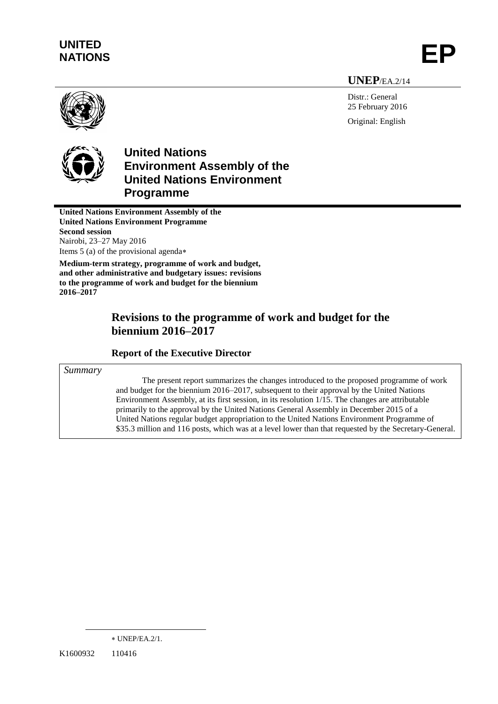# **UNITED** UNITED<br>NATIONS **EP**

**UNEP**/EA.2/14

Distr.: General 25 February 2016 Original: English



# **United Nations Environment Assembly of the United Nations Environment Programme**

**United Nations Environment Assembly of the United Nations Environment Programme Second session** Nairobi, 23–27 May 2016 Items 5 (a) of the provisional agenda

**Medium-term strategy, programme of work and budget, and other administrative and budgetary issues: revisions to the programme of work and budget for the biennium 2016–2017**

# **Revisions to the programme of work and budget for the biennium 2016‒2017**

## **Report of the Executive Director**

*Summary* 

The present report summarizes the changes introduced to the proposed programme of work and budget for the biennium 2016–2017, subsequent to their approval by the United Nations Environment Assembly, at its first session, in its resolution 1/15. The changes are attributable primarily to the approval by the United Nations General Assembly in December 2015 of a United Nations regular budget appropriation to the United Nations Environment Programme of \$35.3 million and 116 posts, which was at a level lower than that requested by the Secretary-General.

 $\overline{a}$ 

UNEP/EA.2/1.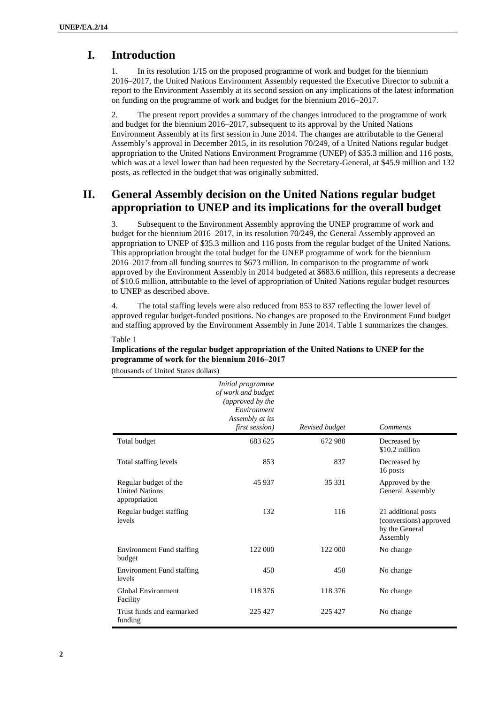## **I. Introduction**

1. In its resolution 1/15 on the proposed programme of work and budget for the biennium 2016‒2017, the United Nations Environment Assembly requested the Executive Director to submit a report to the Environment Assembly at its second session on any implications of the latest information on funding on the programme of work and budget for the biennium 2016–2017.

2. The present report provides a summary of the changes introduced to the programme of work and budget for the biennium 2016–2017, subsequent to its approval by the United Nations Environment Assembly at its first session in June 2014. The changes are attributable to the General Assembly's approval in December 2015, in its resolution 70/249, of a United Nations regular budget appropriation to the United Nations Environment Programme (UNEP) of \$35.3 million and 116 posts, which was at a level lower than had been requested by the Secretary-General, at \$45.9 million and 132 posts, as reflected in the budget that was originally submitted.

## **II. General Assembly decision on the United Nations regular budget appropriation to UNEP and its implications for the overall budget**

3. Subsequent to the Environment Assembly approving the UNEP programme of work and budget for the biennium 2016‒2017, in its resolution 70/249, the General Assembly approved an appropriation to UNEP of \$35.3 million and 116 posts from the regular budget of the United Nations. This appropriation brought the total budget for the UNEP programme of work for the biennium 2016‒2017 from all funding sources to \$673 million. In comparison to the programme of work approved by the Environment Assembly in 2014 budgeted at \$683.6 million, this represents a decrease of \$10.6 million, attributable to the level of appropriation of United Nations regular budget resources to UNEP as described above.

4. The total staffing levels were also reduced from 853 to 837 reflecting the lower level of approved regular budget-funded positions. No changes are proposed to the Environment Fund budget and staffing approved by the Environment Assembly in June 2014. Table 1 summarizes the changes.

#### Table 1

#### **Implications of the regular budget appropriation of the United Nations to UNEP for the programme of work for the biennium 2016‒2017**

(thousands of United States dollars)

|                                                                 | Initial programme<br>of work and budget<br>(approved by the<br>Environment<br>Assembly at its<br>first session) | Revised budget | <b>Comments</b>                                                             |
|-----------------------------------------------------------------|-----------------------------------------------------------------------------------------------------------------|----------------|-----------------------------------------------------------------------------|
| Total budget                                                    | 683 625                                                                                                         | 672 988        | Decreased by<br>\$10.2 million                                              |
| Total staffing levels                                           | 853                                                                                                             | 837            | Decreased by<br>16 posts                                                    |
| Regular budget of the<br><b>United Nations</b><br>appropriation | 45 937                                                                                                          | 35 331         | Approved by the<br>General Assembly                                         |
| Regular budget staffing<br>levels                               | 132                                                                                                             | 116            | 21 additional posts<br>(conversions) approved<br>by the General<br>Assembly |
| <b>Environment Fund staffing</b><br>budget                      | 122 000                                                                                                         | 122 000        | No change                                                                   |
| <b>Environment Fund staffing</b><br>levels                      | 450                                                                                                             | 450            | No change                                                                   |
| Global Environment<br>Facility                                  | 118 376                                                                                                         | 118 376        | No change                                                                   |
| Trust funds and earmarked<br>funding                            | 225 427                                                                                                         | 225 427        | No change                                                                   |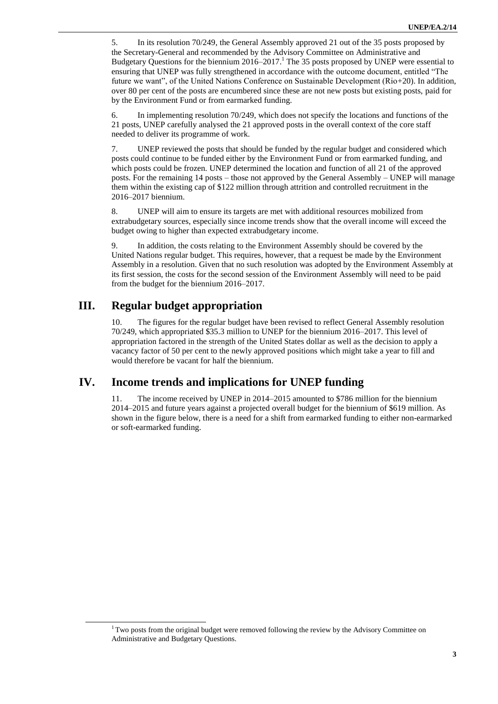5. In its resolution 70/249, the General Assembly approved 21 out of the 35 posts proposed by the Secretary-General and recommended by the Advisory Committee on Administrative and Budgetary Questions for the biennium 2016–2017.<sup>1</sup> The 35 posts proposed by UNEP were essential to ensuring that UNEP was fully strengthened in accordance with the outcome document, entitled "The future we want", of the United Nations Conference on Sustainable Development (Rio+20). In addition, over 80 per cent of the posts are encumbered since these are not new posts but existing posts, paid for by the Environment Fund or from earmarked funding.

6. In implementing resolution 70/249, which does not specify the locations and functions of the 21 posts, UNEP carefully analysed the 21 approved posts in the overall context of the core staff needed to deliver its programme of work.

7. UNEP reviewed the posts that should be funded by the regular budget and considered which posts could continue to be funded either by the Environment Fund or from earmarked funding, and which posts could be frozen. UNEP determined the location and function of all 21 of the approved posts. For the remaining 14 posts – those not approved by the General Assembly – UNEP will manage them within the existing cap of \$122 million through attrition and controlled recruitment in the 2016‒2017 biennium.

8. UNEP will aim to ensure its targets are met with additional resources mobilized from extrabudgetary sources, especially since income trends show that the overall income will exceed the budget owing to higher than expected extrabudgetary income.

9. In addition, the costs relating to the Environment Assembly should be covered by the United Nations regular budget. This requires, however, that a request be made by the Environment Assembly in a resolution. Given that no such resolution was adopted by the Environment Assembly at its first session, the costs for the second session of the Environment Assembly will need to be paid from the budget for the biennium 2016–2017.

## **III. Regular budget appropriation**

 $\overline{a}$ 

10. The figures for the regular budget have been revised to reflect General Assembly resolution 70/249, which appropriated \$35.3 million to UNEP for the biennium 2016–2017. This level of appropriation factored in the strength of the United States dollar as well as the decision to apply a vacancy factor of 50 per cent to the newly approved positions which might take a year to fill and would therefore be vacant for half the biennium.

## **IV. Income trends and implications for UNEP funding**

11. The income received by UNEP in 2014–2015 amounted to \$786 million for the biennium 2014‒2015 and future years against a projected overall budget for the biennium of \$619 million. As shown in the figure below, there is a need for a shift from earmarked funding to either non-earmarked or soft-earmarked funding.

<sup>&</sup>lt;sup>1</sup> Two posts from the original budget were removed following the review by the Advisory Committee on Administrative and Budgetary Questions.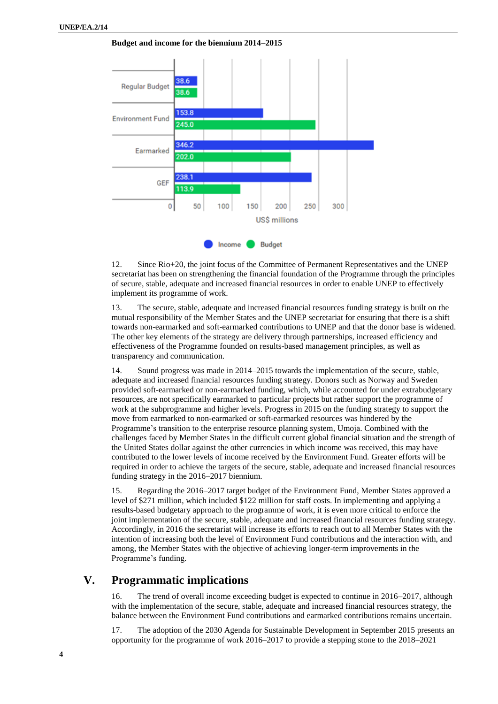**Budget and income for the biennium 2014–2015** 



12. Since Rio+20, the joint focus of the Committee of Permanent Representatives and the UNEP secretariat has been on strengthening the financial foundation of the Programme through the principles of secure, stable, adequate and increased financial resources in order to enable UNEP to effectively implement its programme of work.

13. The secure, stable, adequate and increased financial resources funding strategy is built on the mutual responsibility of the Member States and the UNEP secretariat for ensuring that there is a shift towards non-earmarked and soft-earmarked contributions to UNEP and that the donor base is widened. The other key elements of the strategy are delivery through partnerships, increased efficiency and effectiveness of the Programme founded on results-based management principles, as well as transparency and communication.

14. Sound progress was made in 2014–2015 towards the implementation of the secure, stable, adequate and increased financial resources funding strategy. Donors such as Norway and Sweden provided soft-earmarked or non-earmarked funding, which, while accounted for under extrabudgetary resources, are not specifically earmarked to particular projects but rather support the programme of work at the subprogramme and higher levels. Progress in 2015 on the funding strategy to support the move from earmarked to non-earmarked or soft-earmarked resources was hindered by the Programme's transition to the enterprise resource planning system, Umoja. Combined with the challenges faced by Member States in the difficult current global financial situation and the strength of the United States dollar against the other currencies in which income was received, this may have contributed to the lower levels of income received by the Environment Fund. Greater efforts will be required in order to achieve the targets of the secure, stable, adequate and increased financial resources funding strategy in the 2016–2017 biennium.

15. Regarding the 2016–2017 target budget of the Environment Fund, Member States approved a level of \$271 million, which included \$122 million for staff costs. In implementing and applying a results-based budgetary approach to the programme of work, it is even more critical to enforce the joint implementation of the secure, stable, adequate and increased financial resources funding strategy. Accordingly, in 2016 the secretariat will increase its efforts to reach out to all Member States with the intention of increasing both the level of Environment Fund contributions and the interaction with, and among, the Member States with the objective of achieving longer-term improvements in the Programme's funding.

## **V. Programmatic implications**

16. The trend of overall income exceeding budget is expected to continue in 2016–2017, although with the implementation of the secure, stable, adequate and increased financial resources strategy, the balance between the Environment Fund contributions and earmarked contributions remains uncertain.

17. The adoption of the 2030 Agenda for Sustainable Development in September 2015 presents an opportunity for the programme of work 2016–2017 to provide a stepping stone to the 2018–2021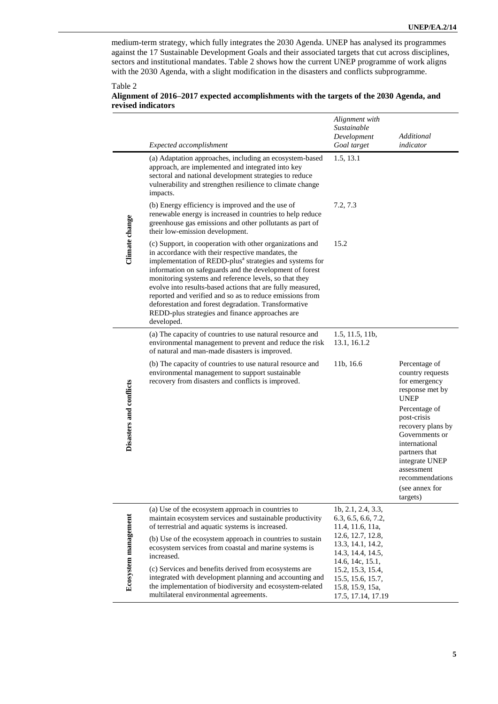medium-term strategy, which fully integrates the 2030 Agenda. UNEP has analysed its programmes against the 17 Sustainable Development Goals and their associated targets that cut across disciplines, sectors and institutional mandates. Table 2 shows how the current UNEP programme of work aligns with the 2030 Agenda, with a slight modification in the disasters and conflicts subprogramme.

#### Table 2

#### **Alignment of 2016–2017 expected accomplishments with the targets of the 2030 Agenda, and revised indicators**

|                         | Expected accomplishment                                                                                                                                                                                                                                                                                                                                                                                                                                                                                                                                     | Alignment with<br>Sustainable<br>Development<br>Goal target                      | Additional<br>indicator                                                                                                                                                                                                                                                        |
|-------------------------|-------------------------------------------------------------------------------------------------------------------------------------------------------------------------------------------------------------------------------------------------------------------------------------------------------------------------------------------------------------------------------------------------------------------------------------------------------------------------------------------------------------------------------------------------------------|----------------------------------------------------------------------------------|--------------------------------------------------------------------------------------------------------------------------------------------------------------------------------------------------------------------------------------------------------------------------------|
| Climate change          | (a) Adaptation approaches, including an ecosystem-based<br>approach, are implemented and integrated into key<br>sectoral and national development strategies to reduce<br>vulnerability and strengthen resilience to climate change<br>impacts.                                                                                                                                                                                                                                                                                                             | 1.5, 13.1                                                                        |                                                                                                                                                                                                                                                                                |
|                         | (b) Energy efficiency is improved and the use of<br>renewable energy is increased in countries to help reduce<br>greenhouse gas emissions and other pollutants as part of<br>their low-emission development.                                                                                                                                                                                                                                                                                                                                                | 7.2, 7.3                                                                         |                                                                                                                                                                                                                                                                                |
|                         | (c) Support, in cooperation with other organizations and<br>in accordance with their respective mandates, the<br>implementation of REDD-plus <sup>a</sup> strategies and systems for<br>information on safeguards and the development of forest<br>monitoring systems and reference levels, so that they<br>evolve into results-based actions that are fully measured,<br>reported and verified and so as to reduce emissions from<br>deforestation and forest degradation. Transformative<br>REDD-plus strategies and finance approaches are<br>developed. | 15.2                                                                             |                                                                                                                                                                                                                                                                                |
| Disasters and conflicts | (a) The capacity of countries to use natural resource and<br>environmental management to prevent and reduce the risk<br>of natural and man-made disasters is improved.                                                                                                                                                                                                                                                                                                                                                                                      | 1.5, 11.5, 11b,<br>13.1, 16.1.2                                                  |                                                                                                                                                                                                                                                                                |
|                         | (b) The capacity of countries to use natural resource and<br>environmental management to support sustainable<br>recovery from disasters and conflicts is improved.                                                                                                                                                                                                                                                                                                                                                                                          | 11b, 16.6                                                                        | Percentage of<br>country requests<br>for emergency<br>response met by<br><b>UNEP</b><br>Percentage of<br>post-crisis<br>recovery plans by<br>Governments or<br>international<br>partners that<br>integrate UNEP<br>assessment<br>recommendations<br>(see annex for<br>targets) |
| Ecosystem management    | (a) Use of the ecosystem approach in countries to<br>maintain ecosystem services and sustainable productivity<br>of terrestrial and aquatic systems is increased.                                                                                                                                                                                                                                                                                                                                                                                           | 1b, 2.1, 2.4, 3.3,<br>6.3, 6.5, 6.6, 7.2,<br>11.4, 11.6, 11a,                    |                                                                                                                                                                                                                                                                                |
|                         | (b) Use of the ecosystem approach in countries to sustain<br>ecosystem services from coastal and marine systems is<br>increased.                                                                                                                                                                                                                                                                                                                                                                                                                            | 12.6, 12.7, 12.8,<br>13.3, 14.1, 14.2,<br>14.3, 14.4, 14.5,<br>14.6, 14c, 15.1,  |                                                                                                                                                                                                                                                                                |
|                         | (c) Services and benefits derived from ecosystems are<br>integrated with development planning and accounting and<br>the implementation of biodiversity and ecosystem-related<br>multilateral environmental agreements.                                                                                                                                                                                                                                                                                                                                      | 15.2, 15.3, 15.4,<br>15.5, 15.6, 15.7,<br>15.8, 15.9, 15a,<br>17.5, 17.14, 17.19 |                                                                                                                                                                                                                                                                                |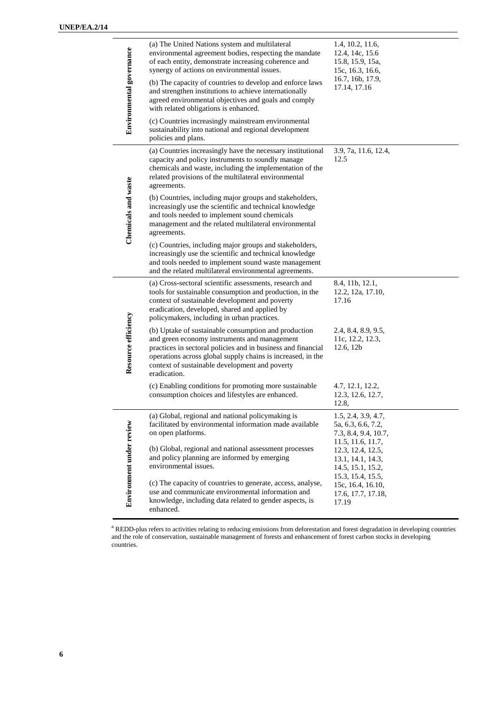$\overline{a}$ 

| Environmental governance | (a) The United Nations system and multilateral<br>environmental agreement bodies, respecting the mandate<br>of each entity, demonstrate increasing coherence and<br>synergy of actions on environmental issues.<br>(b) The capacity of countries to develop and enforce laws<br>and strengthen institutions to achieve internationally<br>agreed environmental objectives and goals and comply<br>with related obligations is enhanced. | 1.4, 10.2, 11.6,<br>12.4, 14c, 15.6<br>15.8, 15.9, 15a,<br>15c, 16.3, 16.6,<br>16.7, 16b, 17.9,<br>17.14, 17.16 |
|--------------------------|-----------------------------------------------------------------------------------------------------------------------------------------------------------------------------------------------------------------------------------------------------------------------------------------------------------------------------------------------------------------------------------------------------------------------------------------|-----------------------------------------------------------------------------------------------------------------|
|                          | (c) Countries increasingly mainstream environmental<br>sustainability into national and regional development<br>policies and plans.                                                                                                                                                                                                                                                                                                     |                                                                                                                 |
| Chemicals and waste      | (a) Countries increasingly have the necessary institutional<br>capacity and policy instruments to soundly manage<br>chemicals and waste, including the implementation of the<br>related provisions of the multilateral environmental<br>agreements.                                                                                                                                                                                     | 3.9, 7a, 11.6, 12.4,<br>12.5                                                                                    |
|                          | (b) Countries, including major groups and stakeholders,<br>increasingly use the scientific and technical knowledge<br>and tools needed to implement sound chemicals<br>management and the related multilateral environmental<br>agreements.                                                                                                                                                                                             |                                                                                                                 |
|                          | (c) Countries, including major groups and stakeholders,<br>increasingly use the scientific and technical knowledge<br>and tools needed to implement sound waste management<br>and the related multilateral environmental agreements.                                                                                                                                                                                                    |                                                                                                                 |
| Resource efficiency      | (a) Cross-sectoral scientific assessments, research and<br>tools for sustainable consumption and production, in the<br>context of sustainable development and poverty<br>eradication, developed, shared and applied by<br>policymakers, including in urban practices.                                                                                                                                                                   | 8.4, 11b, 12.1,<br>12.2, 12a, 17.10,<br>17.16                                                                   |
|                          | (b) Uptake of sustainable consumption and production<br>and green economy instruments and management<br>practices in sectoral policies and in business and financial<br>operations across global supply chains is increased, in the<br>context of sustainable development and poverty<br>eradication.                                                                                                                                   | 2.4, 8.4, 8.9, 9.5,<br>11c, 12.2, 12.3,<br>12.6, 12b                                                            |
|                          | (c) Enabling conditions for promoting more sustainable<br>consumption choices and lifestyles are enhanced.                                                                                                                                                                                                                                                                                                                              | 4.7, 12.1, 12.2,<br>12.3, 12.6, 12.7,<br>12.8,                                                                  |
| Environment under review | (a) Global, regional and national policymaking is<br>facilitated by environmental information made available<br>on open platforms.                                                                                                                                                                                                                                                                                                      | 1.5, 2.4, 3.9, 4.7,<br>5a, 6.3, 6.6, 7.2,<br>7.3, 8.4, 9.4, 10.7,<br>11.5, 11.6, 11.7,                          |
|                          | (b) Global, regional and national assessment processes<br>and policy planning are informed by emerging<br>environmental issues.                                                                                                                                                                                                                                                                                                         | 12.3, 12.4, 12.5,<br>13.1, 14.1, 14.3,<br>14.5, 15.1, 15.2,<br>15.3, 15.4, 15.5,                                |
|                          | (c) The capacity of countries to generate, access, analyse,<br>use and communicate environmental information and<br>knowledge, including data related to gender aspects, is<br>enhanced.                                                                                                                                                                                                                                                | 15c, 16.4, 16.10,<br>17.6, 17.7, 17.18,<br>17.19                                                                |

<sup>a</sup> REDD-plus refers to activities relating to reducing emissions from deforestation and forest degradation in developing countries and the role of conservation, sustainable management of forests and enhancement of forest carbon stocks in developing countries.